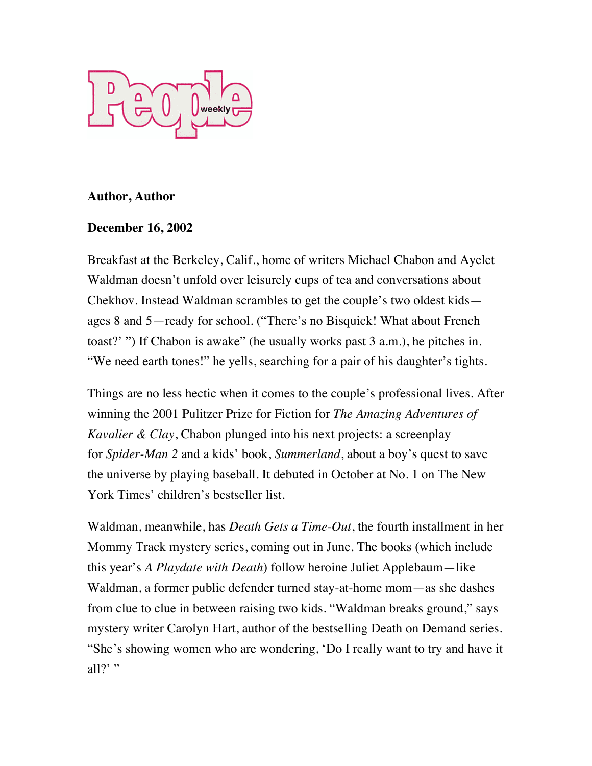

## **Author, Author**

## **December 16, 2002**

Breakfast at the Berkeley, Calif., home of writers Michael Chabon and Ayelet Waldman doesn't unfold over leisurely cups of tea and conversations about Chekhov. Instead Waldman scrambles to get the couple's two oldest kids ages 8 and 5—ready for school. ("There's no Bisquick! What about French toast?' ") If Chabon is awake" (he usually works past 3 a.m.), he pitches in. "We need earth tones!" he yells, searching for a pair of his daughter's tights.

Things are no less hectic when it comes to the couple's professional lives. After winning the 2001 Pulitzer Prize for Fiction for *The Amazing Adventures of Kavalier & Clay*, Chabon plunged into his next projects: a screenplay for *Spider-Man 2* and a kids' book, *Summerland*, about a boy's quest to save the universe by playing baseball. It debuted in October at No. 1 on The New York Times' children's bestseller list.

Waldman, meanwhile, has *Death Gets a Time-Out*, the fourth installment in her Mommy Track mystery series, coming out in June. The books (which include this year's *A Playdate with Death*) follow heroine Juliet Applebaum—like Waldman, a former public defender turned stay-at-home mom—as she dashes from clue to clue in between raising two kids. "Waldman breaks ground," says mystery writer Carolyn Hart, author of the bestselling Death on Demand series. "She's showing women who are wondering, 'Do I really want to try and have it all?' "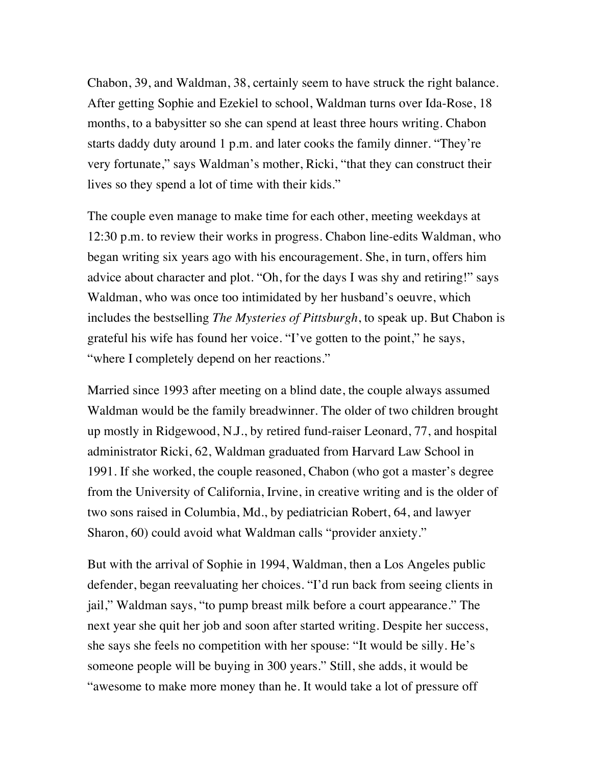Chabon, 39, and Waldman, 38, certainly seem to have struck the right balance. After getting Sophie and Ezekiel to school, Waldman turns over Ida-Rose, 18 months, to a babysitter so she can spend at least three hours writing. Chabon starts daddy duty around 1 p.m. and later cooks the family dinner. "They're very fortunate," says Waldman's mother, Ricki, "that they can construct their lives so they spend a lot of time with their kids."

The couple even manage to make time for each other, meeting weekdays at 12:30 p.m. to review their works in progress. Chabon line-edits Waldman, who began writing six years ago with his encouragement. She, in turn, offers him advice about character and plot. "Oh, for the days I was shy and retiring!" says Waldman, who was once too intimidated by her husband's oeuvre, which includes the bestselling *The Mysteries of Pittsburgh*, to speak up. But Chabon is grateful his wife has found her voice. "I've gotten to the point," he says, "where I completely depend on her reactions."

Married since 1993 after meeting on a blind date, the couple always assumed Waldman would be the family breadwinner. The older of two children brought up mostly in Ridgewood, N.J., by retired fund-raiser Leonard, 77, and hospital administrator Ricki, 62, Waldman graduated from Harvard Law School in 1991. If she worked, the couple reasoned, Chabon (who got a master's degree from the University of California, Irvine, in creative writing and is the older of two sons raised in Columbia, Md., by pediatrician Robert, 64, and lawyer Sharon, 60) could avoid what Waldman calls "provider anxiety."

But with the arrival of Sophie in 1994, Waldman, then a Los Angeles public defender, began reevaluating her choices. "I'd run back from seeing clients in jail," Waldman says, "to pump breast milk before a court appearance." The next year she quit her job and soon after started writing. Despite her success, she says she feels no competition with her spouse: "It would be silly. He's someone people will be buying in 300 years." Still, she adds, it would be "awesome to make more money than he. It would take a lot of pressure off